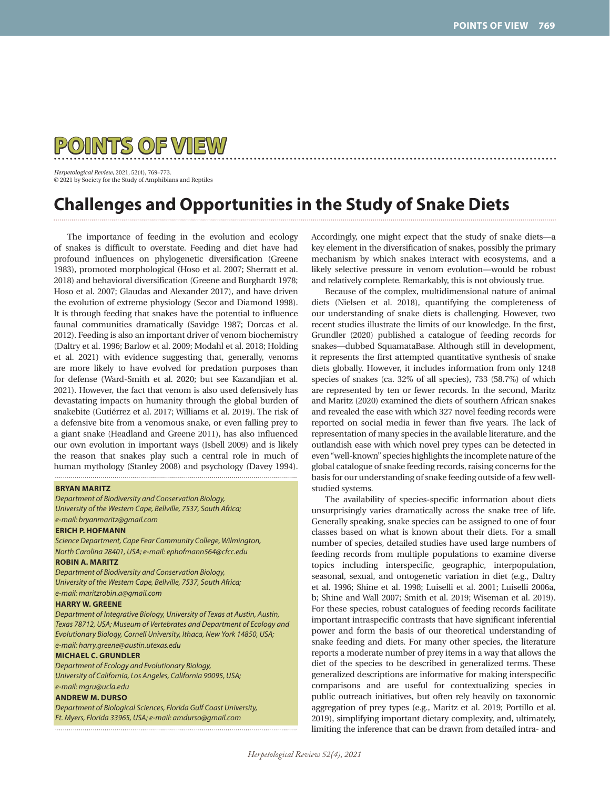

*Herpetological Review*, 2021, 52(4), 769–773. © 2021 by Society for the Study of Amphibians and Reptiles

# **Challenges and Opportunities in the Study of Snake Diets**

The importance of feeding in the evolution and ecology of snakes is difficult to overstate. Feeding and diet have had profound influences on phylogenetic diversification (Greene 1983), promoted morphological (Hoso et al. 2007; Sherratt et al. 2018) and behavioral diversification (Greene and Burghardt 1978; Hoso et al. 2007; Glaudas and Alexander 2017), and have driven the evolution of extreme physiology (Secor and Diamond 1998). It is through feeding that snakes have the potential to influence faunal communities dramatically (Savidge 1987; Dorcas et al. 2012). Feeding is also an important driver of venom biochemistry (Daltry et al. 1996; Barlow et al. 2009; Modahl et al. 2018; Holding et al. 2021) with evidence suggesting that, generally, venoms are more likely to have evolved for predation purposes than for defense (Ward-Smith et al. 2020; but see Kazandjian et al. 2021). However, the fact that venom is also used defensively has devastating impacts on humanity through the global burden of snakebite (Gutiérrez et al. 2017; Williams et al. 2019). The risk of a defensive bite from a venomous snake, or even falling prey to a giant snake (Headland and Greene 2011), has also influenced our own evolution in important ways (Isbell 2009) and is likely the reason that snakes play such a central role in much of human mythology (Stanley 2008) and psychology (Davey 1994). 

#### **BRYAN MARITZ**

*Department of Biodiversity and Conservation Biology, University of the Western Cape, Bellville, 7537, South Africa; e-mail: bryanmaritz@gmail.com*

#### **ERICH P. HOFMANN**

*Science Department, Cape Fear Community College, Wilmington, North Carolina 28401, USA; e-mail: ephofmann564@cfcc.edu*

## **ROBIN A. MARITZ**

*Department of Biodiversity and Conservation Biology, University of the Western Cape, Bellville, 7537, South Africa;* 

*e-mail: maritzrobin.a@gmail.com*

## **HARRY W. GREENE**

*Department of Integrative Biology, University of Texas at Austin, Austin, Texas 78712, USA; Museum of Vertebrates and Department of Ecology and Evolutionary Biology, Cornell University, Ithaca, New York 14850, USA; e-mail: harry.greene@austin.utexas.edu*

### **MICHAEL C. GRUNDLER**

*Department of Ecology and Evolutionary Biology, University of California, Los Angeles, California 90095, USA;* 

## *e-mail: mgru@ucla.edu*

## **ANDREW M. DURSO**

*Department of Biological Sciences, Florida Gulf Coast University, Ft. Myers, Florida 33965, USA; e-mail: amdurso@gmail.com*

Accordingly, one might expect that the study of snake diets—a key element in the diversification of snakes, possibly the primary mechanism by which snakes interact with ecosystems, and a likely selective pressure in venom evolution—would be robust and relatively complete. Remarkably, this is not obviously true.

Because of the complex, multidimensional nature of animal diets (Nielsen et al. 2018), quantifying the completeness of our understanding of snake diets is challenging. However, two recent studies illustrate the limits of our knowledge. In the first, Grundler (2020) published a catalogue of feeding records for snakes—dubbed SquamataBase. Although still in development, it represents the first attempted quantitative synthesis of snake diets globally. However, it includes information from only 1248 species of snakes (ca. 32% of all species), 733 (58.7%) of which are represented by ten or fewer records. In the second, Maritz and Maritz (2020) examined the diets of southern African snakes and revealed the ease with which 327 novel feeding records were reported on social media in fewer than five years. The lack of representation of many species in the available literature, and the outlandish ease with which novel prey types can be detected in even "well-known" species highlights the incomplete nature of the global catalogue of snake feeding records, raising concerns for the basis for our understanding of snake feeding outside of a few wellstudied systems.

The availability of species-specific information about diets unsurprisingly varies dramatically across the snake tree of life. Generally speaking, snake species can be assigned to one of four classes based on what is known about their diets. For a small number of species, detailed studies have used large numbers of feeding records from multiple populations to examine diverse topics including interspecific, geographic, interpopulation, seasonal, sexual, and ontogenetic variation in diet (e.g., Daltry et al. 1996; Shine et al. 1998; Luiselli et al. 2001; Luiselli 2006a, b; Shine and Wall 2007; Smith et al. 2019; Wiseman et al. 2019). For these species, robust catalogues of feeding records facilitate important intraspecific contrasts that have significant inferential power and form the basis of our theoretical understanding of snake feeding and diets. For many other species, the literature reports a moderate number of prey items in a way that allows the diet of the species to be described in generalized terms. These generalized descriptions are informative for making interspecific comparisons and are useful for contextualizing species in public outreach initiatives, but often rely heavily on taxonomic aggregation of prey types (e.g., Maritz et al. 2019; Portillo et al. 2019), simplifying important dietary complexity, and, ultimately, limiting the inference that can be drawn from detailed intra- and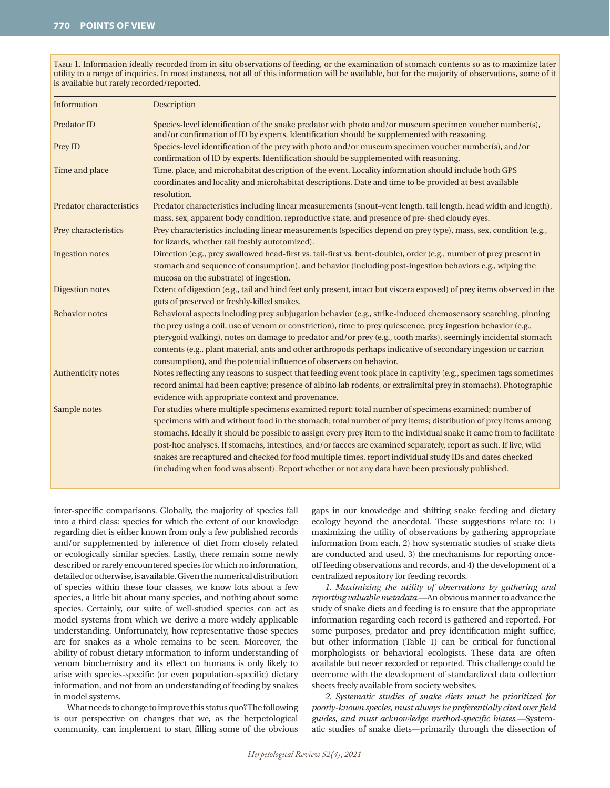TABLE 1. Information ideally recorded from in situ observations of feeding, or the examination of stomach contents so as to maximize later utility to a range of inquiries. In most instances, not all of this information will be available, but for the majority of observations, some of it is available but rarely recorded/reported.

| Information               | Description                                                                                                                                                                                            |
|---------------------------|--------------------------------------------------------------------------------------------------------------------------------------------------------------------------------------------------------|
| Predator ID               | Species-level identification of the snake predator with photo and/or museum specimen voucher number(s),<br>and/or confirmation of ID by experts. Identification should be supplemented with reasoning. |
| Prey ID                   | Species-level identification of the prey with photo and/or museum specimen voucher number(s), and/or                                                                                                   |
|                           | confirmation of ID by experts. Identification should be supplemented with reasoning.                                                                                                                   |
| Time and place            | Time, place, and microhabitat description of the event. Locality information should include both GPS                                                                                                   |
|                           | coordinates and locality and microhabitat descriptions. Date and time to be provided at best available<br>resolution.                                                                                  |
| Predator characteristics  | Predator characteristics including linear measurements (snout-vent length, tail length, head width and length),                                                                                        |
|                           | mass, sex, apparent body condition, reproductive state, and presence of pre-shed cloudy eyes.                                                                                                          |
| Prey characteristics      | Prey characteristics including linear measurements (specifics depend on prey type), mass, sex, condition (e.g.,<br>for lizards, whether tail freshly autotomized).                                     |
| Ingestion notes           | Direction (e.g., prey swallowed head-first vs. tail-first vs. bent-double), order (e.g., number of prey present in                                                                                     |
|                           | stomach and sequence of consumption), and behavior (including post-ingestion behaviors e.g., wiping the                                                                                                |
|                           | mucosa on the substrate) of ingestion.                                                                                                                                                                 |
| Digestion notes           | Extent of digestion (e.g., tail and hind feet only present, intact but viscera exposed) of prey items observed in the                                                                                  |
|                           | guts of preserved or freshly-killed snakes.                                                                                                                                                            |
| <b>Behavior</b> notes     | Behavioral aspects including prey subjugation behavior (e.g., strike-induced chemosensory searching, pinning                                                                                           |
|                           | the prey using a coil, use of venom or constriction), time to prey quiescence, prey ingestion behavior (e.g.,                                                                                          |
|                           | pterygoid walking), notes on damage to predator and/or prey (e.g., tooth marks), seemingly incidental stomach                                                                                          |
|                           | contents (e.g., plant material, ants and other arthropods perhaps indicative of secondary ingestion or carrion                                                                                         |
|                           | consumption), and the potential influence of observers on behavior.                                                                                                                                    |
| <b>Authenticity notes</b> | Notes reflecting any reasons to suspect that feeding event took place in captivity (e.g., specimen tags sometimes                                                                                      |
|                           | record animal had been captive; presence of albino lab rodents, or extralimital prey in stomachs). Photographic                                                                                        |
|                           | evidence with appropriate context and provenance.                                                                                                                                                      |
| Sample notes              | For studies where multiple specimens examined report: total number of specimens examined; number of                                                                                                    |
|                           | specimens with and without food in the stomach; total number of prey items; distribution of prey items among                                                                                           |
|                           | stomachs. Ideally it should be possible to assign every prey item to the individual snake it came from to facilitate                                                                                   |
|                           | post-hoc analyses. If stomachs, intestines, and/or faeces are examined separately, report as such. If live, wild                                                                                       |
|                           | snakes are recaptured and checked for food multiple times, report individual study IDs and dates checked                                                                                               |
|                           | (including when food was absent). Report whether or not any data have been previously published.                                                                                                       |
|                           |                                                                                                                                                                                                        |

inter-specific comparisons. Globally, the majority of species fall into a third class: species for which the extent of our knowledge regarding diet is either known from only a few published records and/or supplemented by inference of diet from closely related or ecologically similar species. Lastly, there remain some newly described or rarely encountered species for which no information, detailed or otherwise, is available. Given the numerical distribution of species within these four classes, we know lots about a few species, a little bit about many species, and nothing about some species. Certainly, our suite of well-studied species can act as model systems from which we derive a more widely applicable understanding. Unfortunately, how representative those species are for snakes as a whole remains to be seen. Moreover, the ability of robust dietary information to inform understanding of venom biochemistry and its effect on humans is only likely to arise with species-specific (or even population-specific) dietary information, and not from an understanding of feeding by snakes in model systems.

What needs to change to improve this status quo? The following is our perspective on changes that we, as the herpetological community, can implement to start filling some of the obvious gaps in our knowledge and shifting snake feeding and dietary ecology beyond the anecdotal. These suggestions relate to: 1) maximizing the utility of observations by gathering appropriate information from each, 2) how systematic studies of snake diets are conducted and used, 3) the mechanisms for reporting onceoff feeding observations and records, and 4) the development of a centralized repository for feeding records.

*1. Maximizing the utility of observations by gathering and reporting valuable metadata*.—An obvious manner to advance the study of snake diets and feeding is to ensure that the appropriate information regarding each record is gathered and reported. For some purposes, predator and prey identification might suffice, but other information (Table 1) can be critical for functional morphologists or behavioral ecologists. These data are often available but never recorded or reported. This challenge could be overcome with the development of standardized data collection sheets freely available from society websites.

*2. Systematic studies of snake diets must be prioritized for poorly-known species, must always be preferentially cited over field guides, and must acknowledge method-specific biases.—*Systematic studies of snake diets—primarily through the dissection of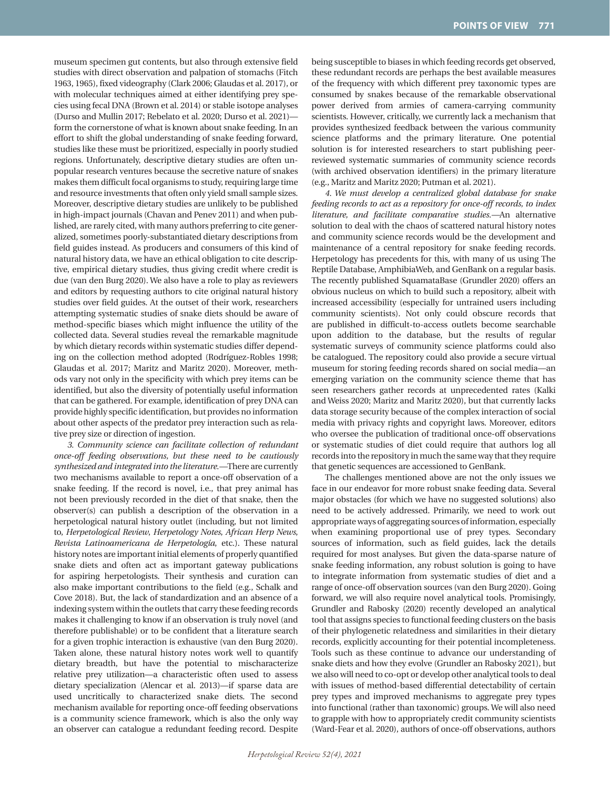museum specimen gut contents, but also through extensive field studies with direct observation and palpation of stomachs (Fitch 1963, 1965), fixed videography (Clark 2006; Glaudas et al. 2017), or with molecular techniques aimed at either identifying prey species using fecal DNA (Brown et al. 2014) or stable isotope analyses (Durso and Mullin 2017; Rebelato et al. 2020; Durso et al. 2021) form the cornerstone of what is known about snake feeding. In an effort to shift the global understanding of snake feeding forward, studies like these must be prioritized, especially in poorly studied regions. Unfortunately, descriptive dietary studies are often unpopular research ventures because the secretive nature of snakes makes them difficult focal organisms to study, requiring large time and resource investments that often only yield small sample sizes. Moreover, descriptive dietary studies are unlikely to be published in high-impact journals (Chavan and Penev 2011) and when published, are rarely cited, with many authors preferring to cite generalized, sometimes poorly-substantiated dietary descriptions from field guides instead. As producers and consumers of this kind of natural history data, we have an ethical obligation to cite descriptive, empirical dietary studies, thus giving credit where credit is due (van den Burg 2020). We also have a role to play as reviewers and editors by requesting authors to cite original natural history studies over field guides. At the outset of their work, researchers attempting systematic studies of snake diets should be aware of method-specific biases which might influence the utility of the collected data. Several studies reveal the remarkable magnitude by which dietary records within systematic studies differ depending on the collection method adopted (Rodríguez-Robles 1998; Glaudas et al. 2017; Maritz and Maritz 2020). Moreover, methods vary not only in the specificity with which prey items can be identified, but also the diversity of potentially useful information that can be gathered. For example, identification of prey DNA can provide highly specific identification, but provides no information about other aspects of the predator prey interaction such as relative prey size or direction of ingestion.

*3. Community science can facilitate collection of redundant once-off feeding observations, but these need to be cautiously synthesized and integrated into the literature.—*There are currently two mechanisms available to report a once-off observation of a snake feeding. If the record is novel, i.e., that prey animal has not been previously recorded in the diet of that snake, then the observer(s) can publish a description of the observation in a herpetological natural history outlet (including, but not limited to, *Herpetological Review*, *Herpetology Notes*, *African Herp News*, *Revista Latinoamericana de Herpetología*, etc.). These natural history notes are important initial elements of properly quantified snake diets and often act as important gateway publications for aspiring herpetologists. Their synthesis and curation can also make important contributions to the field (e.g., Schalk and Cove 2018). But, the lack of standardization and an absence of a indexing system within the outlets that carry these feeding records makes it challenging to know if an observation is truly novel (and therefore publishable) or to be confident that a literature search for a given trophic interaction is exhaustive (van den Burg 2020). Taken alone, these natural history notes work well to quantify dietary breadth, but have the potential to mischaracterize relative prey utilization—a characteristic often used to assess dietary specialization (Alencar et al. 2013)—if sparse data are used uncritically to characterized snake diets. The second mechanism available for reporting once-off feeding observations is a community science framework, which is also the only way an observer can catalogue a redundant feeding record. Despite being susceptible to biases in which feeding records get observed, these redundant records are perhaps the best available measures of the frequency with which different prey taxonomic types are consumed by snakes because of the remarkable observational power derived from armies of camera-carrying community scientists. However, critically, we currently lack a mechanism that provides synthesized feedback between the various community science platforms and the primary literature. One potential solution is for interested researchers to start publishing peerreviewed systematic summaries of community science records (with archived observation identifiers) in the primary literature (e.g., Maritz and Maritz 2020; Putman et al. 2021).

*4. We must develop a centralized global database for snake feeding records to act as a repository for once-off records, to index literature, and facilitate comparative studies.—*An alternative solution to deal with the chaos of scattered natural history notes and community science records would be the development and maintenance of a central repository for snake feeding records. Herpetology has precedents for this, with many of us using The Reptile Database, AmphibiaWeb, and GenBank on a regular basis. The recently published SquamataBase (Grundler 2020) offers an obvious nucleus on which to build such a repository, albeit with increased accessibility (especially for untrained users including community scientists). Not only could obscure records that are published in difficult-to-access outlets become searchable upon addition to the database, but the results of regular systematic surveys of community science platforms could also be catalogued. The repository could also provide a secure virtual museum for storing feeding records shared on social media—an emerging variation on the community science theme that has seen researchers gather records at unprecedented rates (Kalki and Weiss 2020; Maritz and Maritz 2020), but that currently lacks data storage security because of the complex interaction of social media with privacy rights and copyright laws. Moreover, editors who oversee the publication of traditional once-off observations or systematic studies of diet could require that authors log all records into the repository in much the same way that they require that genetic sequences are accessioned to GenBank.

The challenges mentioned above are not the only issues we face in our endeavor for more robust snake feeding data. Several major obstacles (for which we have no suggested solutions) also need to be actively addressed. Primarily, we need to work out appropriate ways of aggregating sources of information, especially when examining proportional use of prey types. Secondary sources of information, such as field guides, lack the details required for most analyses. But given the data-sparse nature of snake feeding information, any robust solution is going to have to integrate information from systematic studies of diet and a range of once-off observation sources (van den Burg 2020). Going forward, we will also require novel analytical tools. Promisingly, Grundler and Rabosky (2020) recently developed an analytical tool that assigns species to functional feeding clusters on the basis of their phylogenetic relatedness and similarities in their dietary records, explicitly accounting for their potential incompleteness. Tools such as these continue to advance our understanding of snake diets and how they evolve (Grundler an Rabosky 2021), but we also will need to co-opt or develop other analytical tools to deal with issues of method-based differential detectability of certain prey types and improved mechanisms to aggregate prey types into functional (rather than taxonomic) groups. We will also need to grapple with how to appropriately credit community scientists (Ward-Fear et al. 2020), authors of once-off observations, authors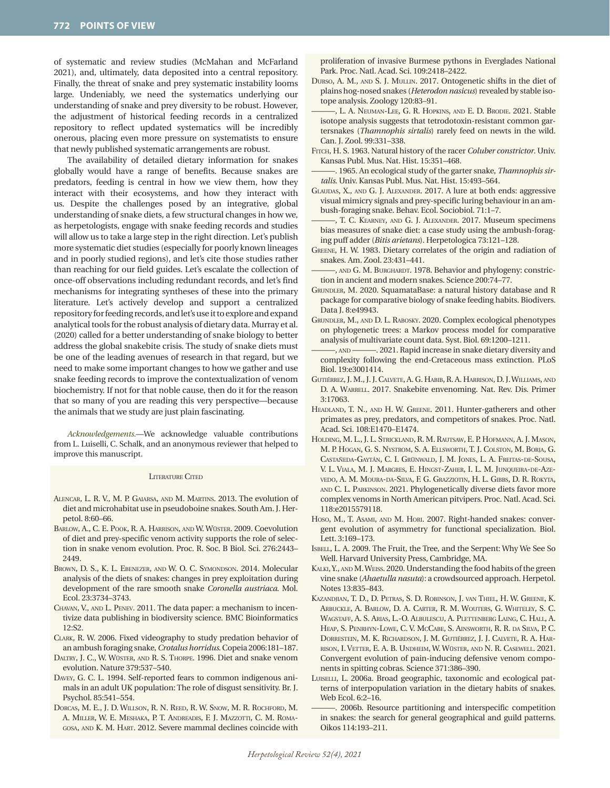of systematic and review studies (McMahan and McFarland 2021), and, ultimately, data deposited into a central repository. Finally, the threat of snake and prey systematic instability looms large. Undeniably, we need the systematics underlying our understanding of snake and prey diversity to be robust. However, the adjustment of historical feeding records in a centralized repository to reflect updated systematics will be incredibly onerous, placing even more pressure on systematists to ensure that newly published systematic arrangements are robust.

The availability of detailed dietary information for snakes globally would have a range of benefits. Because snakes are predators, feeding is central in how we view them, how they interact with their ecosystems, and how they interact with us. Despite the challenges posed by an integrative, global understanding of snake diets, a few structural changes in how we, as herpetologists, engage with snake feeding records and studies will allow us to take a large step in the right direction. Let's publish more systematic diet studies (especially for poorly known lineages and in poorly studied regions), and let's cite those studies rather than reaching for our field guides. Let's escalate the collection of once-off observations including redundant records, and let's find mechanisms for integrating syntheses of these into the primary literature. Let's actively develop and support a centralized repository for feeding records, and let's use it to explore and expand analytical tools for the robust analysis of dietary data. Murray et al. (2020) called for a better understanding of snake biology to better address the global snakebite crisis. The study of snake diets must be one of the leading avenues of research in that regard, but we need to make some important changes to how we gather and use snake feeding records to improve the contextualization of venom biochemistry. If not for that noble cause, then do it for the reason that so many of you are reading this very perspective—because the animals that we study are just plain fascinating.

*Acknowledgements.*—We acknowledge valuable contributions from L. Luiselli, C. Schalk, and an anonymous reviewer that helped to improve this manuscript.

#### LITERATURE CITED

- Alencar, L. R. V., M. P. Gaiarsa, and M. Martins. 2013. The evolution of diet and microhabitat use in pseudoboine snakes. South Am. J. Herpetol. 8:60–66.
- Barlow, A., C. E. Pook, R. A. Harrison, and W. Wüster. 2009. Coevolution of diet and prey-specific venom activity supports the role of selection in snake venom evolution. Proc. R. Soc. B Biol. Sci. 276:2443– 2449.
- Brown, D. S., K. L. Ebenezer, and W. O. C. Symondson. 2014. Molecular analysis of the diets of snakes: changes in prey exploitation during development of the rare smooth snake *Coronella austriaca*. Mol. Ecol. 23:3734–3743.
- Chavan, V., and L. Penev. 2011. The data paper: a mechanism to incentivize data publishing in biodiversity science. BMC Bioinformatics 12:S2.
- Clark, R. W. 2006. Fixed videography to study predation behavior of an ambush foraging snake, *Crotalus horridus*. Copeia 2006:181–187.
- Daltry, J. C., W. Wüster, and R. S. Thorpe. 1996. Diet and snake venom evolution. Nature 379:537–540.
- Davey, G. C. L. 1994. Self-reported fears to common indigenous animals in an adult UK population: The role of disgust sensitivity. Br. J. Psychol. 85:541–554.
- Dorcas, M. E., J. D. Willson, R. N. Reed, R. W. Snow, M. R. Rochford, M. A. Miller, W. E. Meshaka, P. T. Andreadis, F. J. Mazzotti, C. M. Romagosa, and K. M. Hart. 2012. Severe mammal declines coincide with

proliferation of invasive Burmese pythons in Everglades National Park. Proc. Natl. Acad. Sci. 109:2418–2422.

- Durso, A. M., and S. J. Mullin. 2017. Ontogenetic shifts in the diet of plains hog-nosed snakes (*Heterodon nasicus*) revealed by stable isotope analysis. Zoology 120:83–91.
- ———, L. A. Neuman-Lee, G. R. Hopkins, and E. D. Brodie. 2021. Stable isotope analysis suggests that tetrodotoxin-resistant common gartersnakes (*Thamnophis sirtalis*) rarely feed on newts in the wild. Can. J. Zool. 99:331–338.
- Fitch, H. S. 1963. Natural history of the racer *Coluber constrictor*. Univ. Kansas Publ. Mus. Nat. Hist. 15:351–468.
- ———. 1965. An ecological study of the garter snake, *Thamnophis sirtalis*. Univ. Kansas Publ. Mus. Nat. Hist. 15:493–564.
- Glaudas, X., and G. J. Alexander. 2017. A lure at both ends: aggressive visual mimicry signals and prey-specific luring behaviour in an ambush-foraging snake. Behav. Ecol. Sociobiol. 71:1–7.
- , T. C. KEARNEY, AND G. J. ALEXANDER. 2017. Museum specimens bias measures of snake diet: a case study using the ambush-foraging puff adder (*Bitis arietans*). Herpetologica 73:121–128.
- Greene, H. W. 1983. Dietary correlates of the origin and radiation of snakes. Am. Zool. 23:431–441.
- , AND G. M. BURGHARDT. 1978. Behavior and phylogeny: constriction in ancient and modern snakes. Science 200:74–77.
- Grundler, M. 2020. SquamataBase: a natural history database and R package for comparative biology of snake feeding habits. Biodivers. Data J. 8:e49943.
- Grundler, M., and D. L. Rabosky. 2020. Complex ecological phenotypes on phylogenetic trees: a Markov process model for comparative analysis of multivariate count data. Syst. Biol. 69:1200–1211.
- ———, and ———. 2021. Rapid increase in snake dietary diversity and complexity following the end-Cretaceous mass extinction. PLoS Biol. 19:e3001414.
- Gutiérrez, J. M., J. J. Calvete, A. G. Habib, R. A. Harrison, D. J. Williams, and D. A. Warrell. 2017. Snakebite envenoming. Nat. Rev. Dis. Primer 3:17063.
- Headland, T. N., and H. W. Greene. 2011. Hunter-gatherers and other primates as prey, predators, and competitors of snakes. Proc. Natl. Acad. Sci. 108:E1470–E1474.
- Holding, M. L., J. L. Strickland, R. M. Rautsaw, E. P. Hofmann, A. J. Mason, M. P. Hogan, G. S. Nystrom, S. A. Ellsworth, T. J. Colston, M. Borja, G. Castañeda-Gaytán, C. I. Grünwald, J. M. Jones, L. A. Freitas-de-Sousa, V. L. Viala, M. J. Margres, E. Hingst-Zaher, I. L. M. Junqueira-de-Azevedo, A. M. Moura-da-Silva, F. G. Grazziotin, H. L. Gibbs, D. R. Rokyta, and C. L. Parkinson. 2021. Phylogenetically diverse diets favor more complex venoms in North American pitvipers. Proc. Natl. Acad. Sci. 118:e2015579118.
- Hoso, M., T. Asami, and M. Hori. 2007. Right-handed snakes: convergent evolution of asymmetry for functional specialization. Biol. Lett. 3:169–173.
- Isbell, L. A. 2009. The Fruit, the Tree, and the Serpent: Why We See So Well. Harvard University Press, Cambridge, MA.
- KALKI, Y., AND M. WEISS. 2020. Understanding the food habits of the green vine snake (*Ahaetulla nasuta*): a crowdsourced approach. Herpetol. Notes 13:835–843.
- Kazandjian, T. D., D. Petras, S. D. Robinson, J. van Thiel, H. W. Greene, K. Arbuckle, A. Barlow, D. A. Carter, R. M. Wouters, G. Whiteley, S. C. Wagstaff, A. S. Arias, L.-O. Albulescu, A. Plettenberg Laing, C. Hall, A. Heap, S. Penrhyn-Lowe, C. V. McCabe, S. Ainsworth, R. R. da Silva, P. C. Dorrestein, M. K. Richardson, J. M. Gutiérrez, J. J. Calvete, R. A. Harrison, I. Vetter, E. A. B. Undheim, W. Wüster, and N. R. Casewell. 2021. Convergent evolution of pain-inducing defensive venom components in spitting cobras. Science 371:386–390.
- LUISELLI, L. 2006a. Broad geographic, taxonomic and ecological patterns of interpopulation variation in the dietary habits of snakes. Web Ecol. 6:2–16.
- ———. 2006b. Resource partitioning and interspecific competition in snakes: the search for general geographical and guild patterns. Oikos 114:193–211.